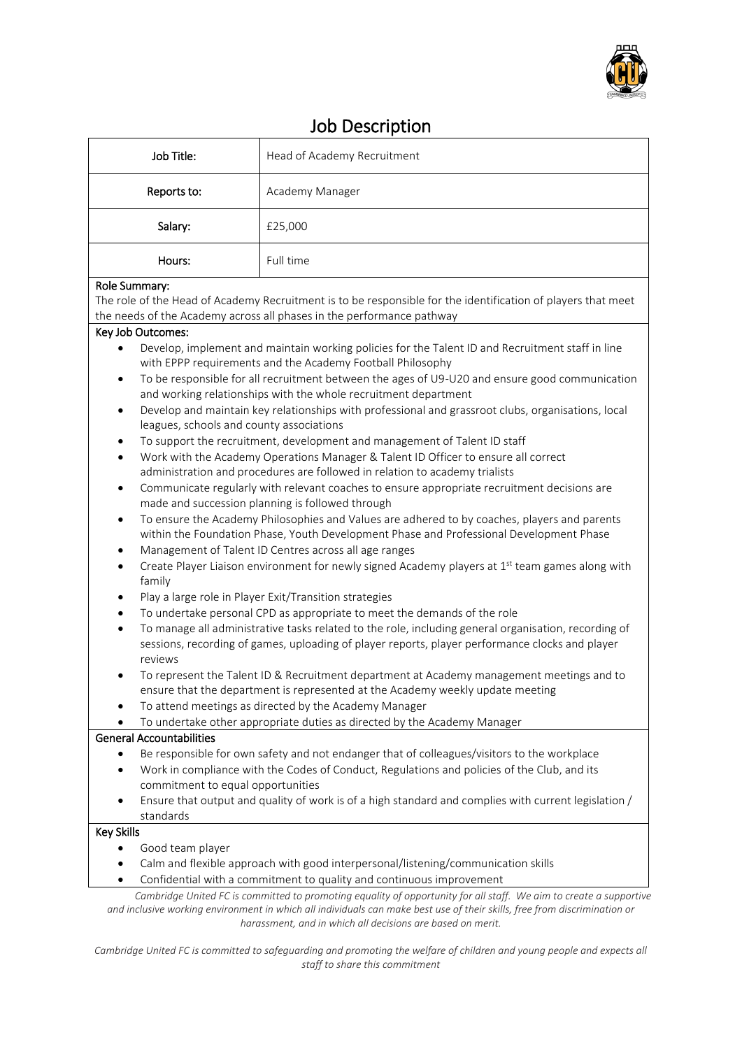

# Job Description

| Job Title:  | Head of Academy Recruitment |
|-------------|-----------------------------|
| Reports to: | Academy Manager             |
| Salary:     | £25,000                     |
| Hours:      | Full time                   |

# Role Summary:

The role of the Head of Academy Recruitment is to be responsible for the identification of players that meet the needs of the Academy across all phases in the performance pathway

# Key Job Outcomes:

- Develop, implement and maintain working policies for the Talent ID and Recruitment staff in line with EPPP requirements and the Academy Football Philosophy
- To be responsible for all recruitment between the ages of U9-U20 and ensure good communication and working relationships with the whole recruitment department
- Develop and maintain key relationships with professional and grassroot clubs, organisations, local leagues, schools and county associations
- To support the recruitment, development and management of Talent ID staff
- Work with the Academy Operations Manager & Talent ID Officer to ensure all correct administration and procedures are followed in relation to academy trialists
- Communicate regularly with relevant coaches to ensure appropriate recruitment decisions are made and succession planning is followed through
- To ensure the Academy Philosophies and Values are adhered to by coaches, players and parents within the Foundation Phase, Youth Development Phase and Professional Development Phase
- Management of Talent ID Centres across all age ranges
- Create Player Liaison environment for newly signed Academy players at  $1<sup>st</sup>$  team games along with family
- Play a large role in Player Exit/Transition strategies
- To undertake personal CPD as appropriate to meet the demands of the role
- To manage all administrative tasks related to the role, including general organisation, recording of sessions, recording of games, uploading of player reports, player performance clocks and player reviews
- To represent the Talent ID & Recruitment department at Academy management meetings and to ensure that the department is represented at the Academy weekly update meeting
- To attend meetings as directed by the Academy Manager
- To undertake other appropriate duties as directed by the Academy Manager

### General Accountabilities

- Be responsible for own safety and not endanger that of colleagues/visitors to the workplace
- Work in compliance with the Codes of Conduct, Regulations and policies of the Club, and its commitment to equal opportunities
- Ensure that output and quality of work is of a high standard and complies with current legislation / standards

### Key Skills

- Good team player
- Calm and flexible approach with good interpersonal/listening/communication skills
- Confidential with a commitment to quality and continuous improvement

Cambridge United FC is committed to promoting equality of opportunity for all staff. We aim to create a supportive *and inclusive working environment in which all individuals can make best use of their skills, free from discrimination or harassment, and in which all decisions are based on merit.*

*Cambridge United FC is committed to safeguarding and promoting the welfare of children and young people and expects all staff to share this commitment*